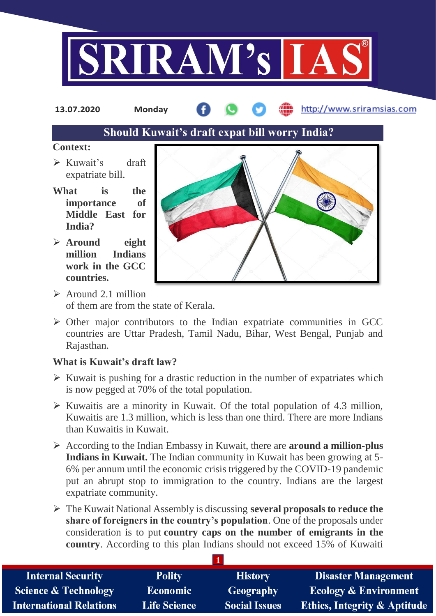

http://www.sriramsias.com **13.07.2020 Monday**

# **Should Kuwait's draft expat bill worry India?**

#### **Context:**

- Kuwait's draft expatriate bill.
- **What is the importance of Middle East for India?**
- **Around eight million Indians work in the GCC countries.**



- $\geq$  Around 2.1 million of them are from the state of Kerala.
- $\triangleright$  Other major contributors to the Indian expatriate communities in GCC countries are Uttar Pradesh, Tamil Nadu, Bihar, West Bengal, Punjab and Rajasthan.

# **What is Kuwait's draft law?**

- $\triangleright$  Kuwait is pushing for a drastic reduction in the number of expatriates which is now pegged at 70% of the total population.
- $\triangleright$  Kuwaitis are a minority in Kuwait. Of the total population of 4.3 million, Kuwaitis are 1.3 million, which is less than one third. There are more Indians than Kuwaitis in Kuwait.
- According to the Indian Embassy in Kuwait, there are **around a million-plus Indians in Kuwait.** The Indian community in Kuwait has been growing at 5- 6% per annum until the economic crisis triggered by the COVID-19 pandemic put an abrupt stop to immigration to the country. Indians are the largest expatriate community.
- The Kuwait National Assembly is discussing **several proposals to reduce the share of foreigners in the country's population**. One of the proposals under consideration is to put **country caps on the number of emigrants in the country**. According to this plan Indians should not exceed 15% of Kuwaiti

**1**

| <b>Internal Security</b>        | <b>Polity</b>       | <b>History</b>       | <b>Disaster Management</b>              |
|---------------------------------|---------------------|----------------------|-----------------------------------------|
| <b>Science &amp; Technology</b> | <b>Economic</b>     | <b>Geography</b>     | <b>Ecology &amp; Environment</b>        |
| <b>International Relations</b>  | <b>Life Science</b> | <b>Social Issues</b> | <b>Ethics, Integrity &amp; Aptitude</b> |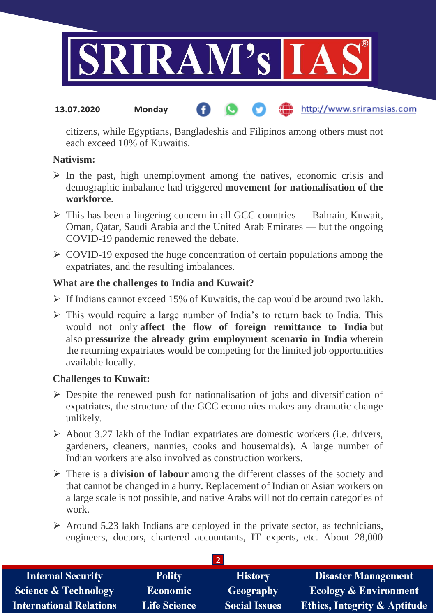

#### the http://www.sriramsias.com **13.07.2020 Monday**

citizens, while Egyptians, Bangladeshis and Filipinos among others must not each exceed 10% of Kuwaitis.

#### **Nativism:**

- $\triangleright$  In the past, high unemployment among the natives, economic crisis and demographic imbalance had triggered **movement for nationalisation of the workforce**.
- $\triangleright$  This has been a lingering concern in all GCC countries Bahrain, Kuwait, Oman, Qatar, Saudi Arabia and the United Arab Emirates — but the ongoing COVID-19 pandemic renewed the debate.
- $\triangleright$  COVID-19 exposed the huge concentration of certain populations among the expatriates, and the resulting imbalances.

## **What are the challenges to India and Kuwait?**

- $\triangleright$  If Indians cannot exceed 15% of Kuwaitis, the cap would be around two lakh.
- $\triangleright$  This would require a large number of India's to return back to India. This would not only **affect the flow of foreign remittance to India** but also **pressurize the already grim employment scenario in India** wherein the returning expatriates would be competing for the limited job opportunities available locally.

## **Challenges to Kuwait:**

- $\triangleright$  Despite the renewed push for nationalisation of jobs and diversification of expatriates, the structure of the GCC economies makes any dramatic change unlikely.
- $\triangleright$  About 3.27 lakh of the Indian expatriates are domestic workers (i.e. drivers, gardeners, cleaners, nannies, cooks and housemaids). A large number of Indian workers are also involved as construction workers.
- There is a **division of labour** among the different classes of the society and that cannot be changed in a hurry. Replacement of Indian or Asian workers on a large scale is not possible, and native Arabs will not do certain categories of work.
- $\triangleright$  Around 5.23 lakh Indians are deployed in the private sector, as technicians, engineers, doctors, chartered accountants, IT experts, etc. About 28,000

| <b>Internal Security</b>        | <b>Polity</b>       | <b>History</b>       | <b>Disaster Management</b>              |  |  |  |
|---------------------------------|---------------------|----------------------|-----------------------------------------|--|--|--|
| <b>Science &amp; Technology</b> | Economic            | <b>Geography</b>     | Ecology & Environment                   |  |  |  |
| <b>International Relations</b>  | <b>Life Science</b> | <b>Social Issues</b> | <b>Ethics, Integrity &amp; Aptitude</b> |  |  |  |